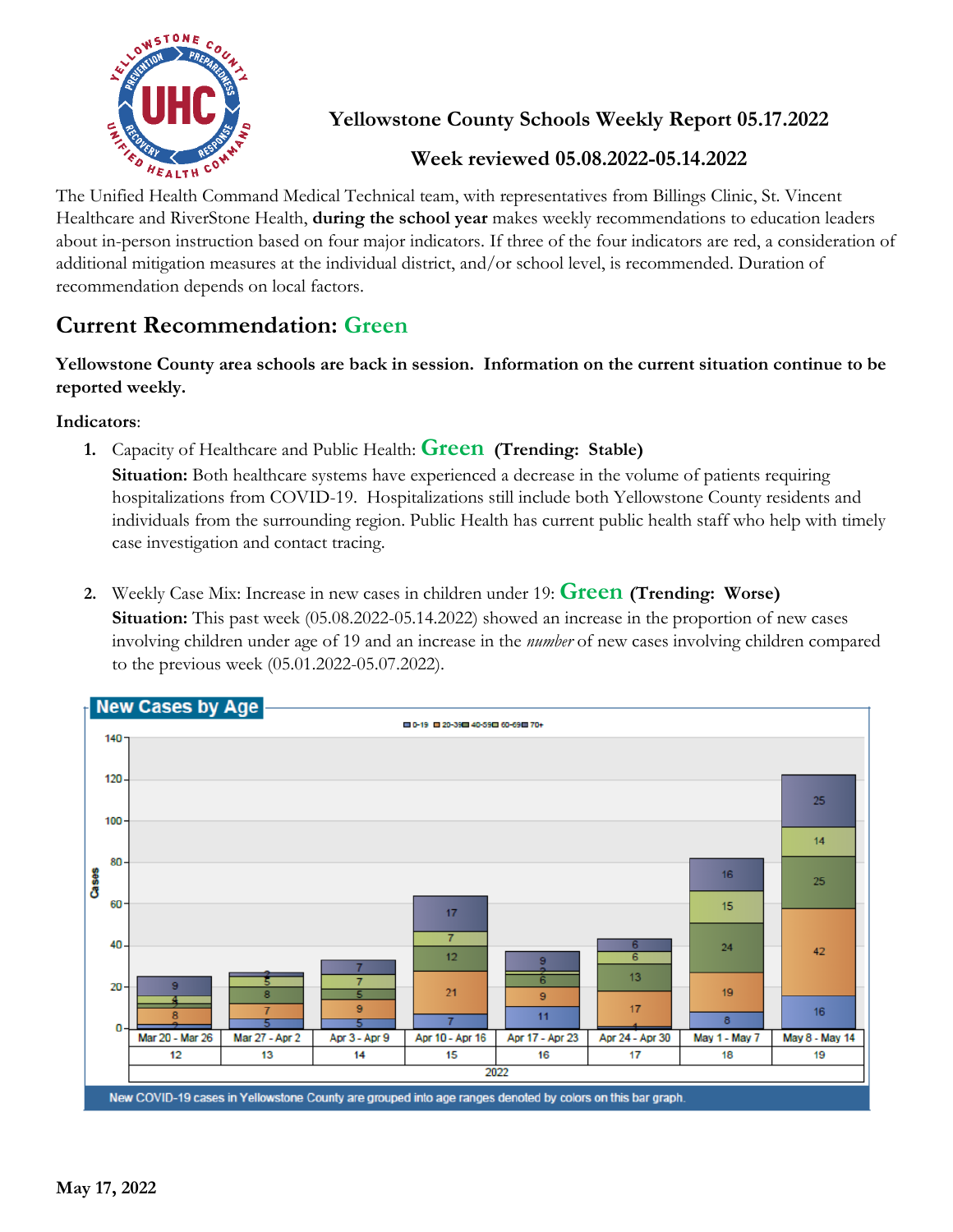

**Yellowstone County Schools Weekly Report 05.17.2022**

## **Week reviewed 05.08.2022-05.14.2022**

The Unified Health Command Medical Technical team, with representatives from Billings Clinic, St. Vincent Healthcare and RiverStone Health, **during the school year** makes weekly recommendations to education leaders about in-person instruction based on four major indicators. If three of the four indicators are red, a consideration of additional mitigation measures at the individual district, and/or school level, is recommended. Duration of recommendation depends on local factors.

## **Current Recommendation: Green**

**Yellowstone County area schools are back in session. Information on the current situation continue to be reported weekly.**

**Indicators**:

**1.** Capacity of Healthcare and Public Health: **Green (Trending: Stable)**

**Situation:** Both healthcare systems have experienced a decrease in the volume of patients requiring hospitalizations from COVID-19. Hospitalizations still include both Yellowstone County residents and individuals from the surrounding region. Public Health has current public health staff who help with timely case investigation and contact tracing.

**2.** Weekly Case Mix: Increase in new cases in children under 19: **Green (Trending: Worse) Situation:** This past week (05.08.2022-05.14.2022) showed an increase in the proportion of new cases involving children under age of 19 and an increase in the *number* of new cases involving children compared to the previous week (05.01.2022-05.07.2022).

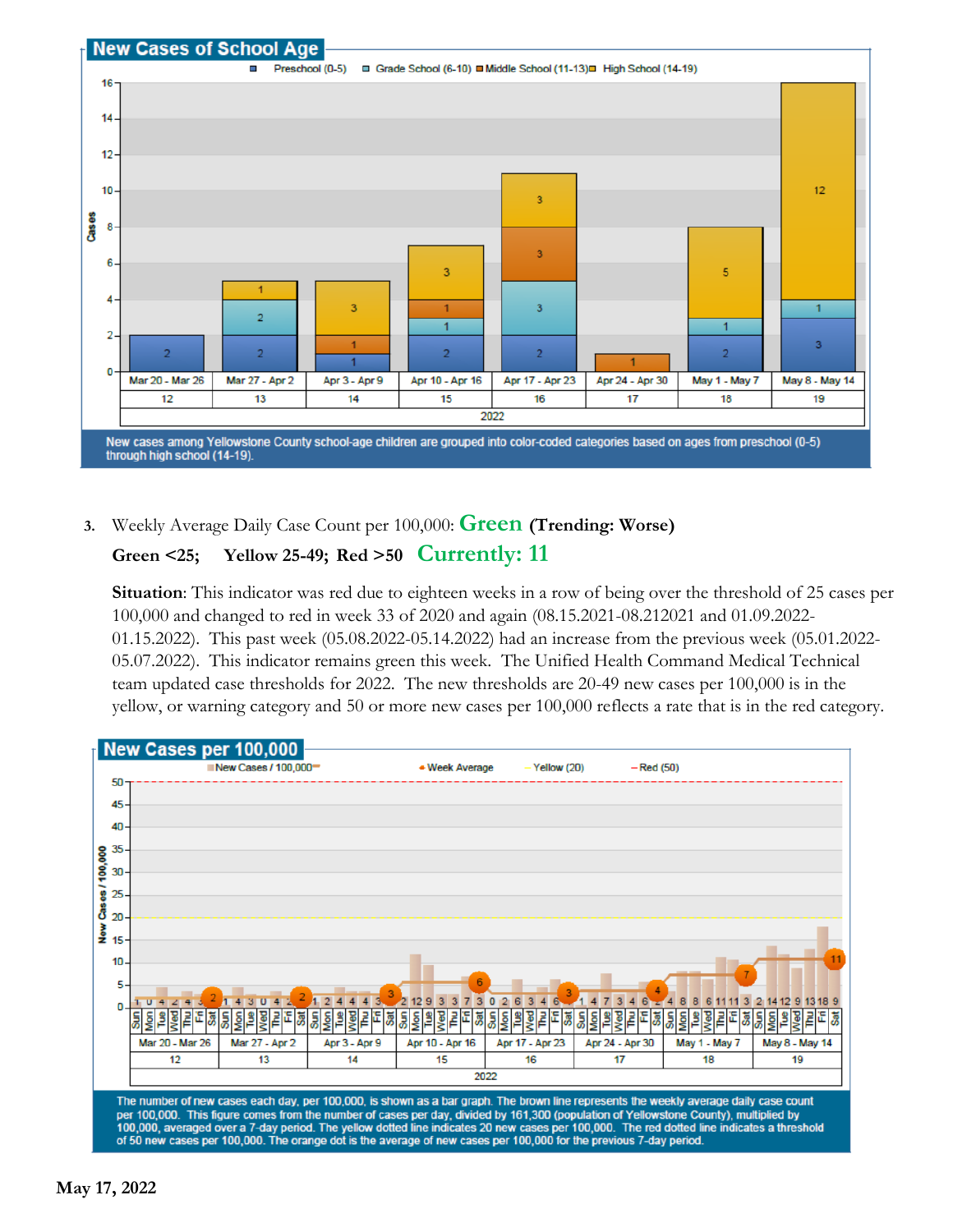

**3.** Weekly Average Daily Case Count per 100,000: **Green (Trending: Worse)**

## **Green <25; Yellow 25-49; Red >50 Currently: 11**

**Situation**: This indicator was red due to eighteen weeks in a row of being over the threshold of 25 cases per 100,000 and changed to red in week 33 of 2020 and again (08.15.2021-08.212021 and 01.09.2022- 01.15.2022). This past week (05.08.2022-05.14.2022) had an increase from the previous week (05.01.2022- 05.07.2022). This indicator remains green this week. The Unified Health Command Medical Technical team updated case thresholds for 2022. The new thresholds are 20-49 new cases per 100,000 is in the yellow, or warning category and 50 or more new cases per 100,000 reflects a rate that is in the red category.